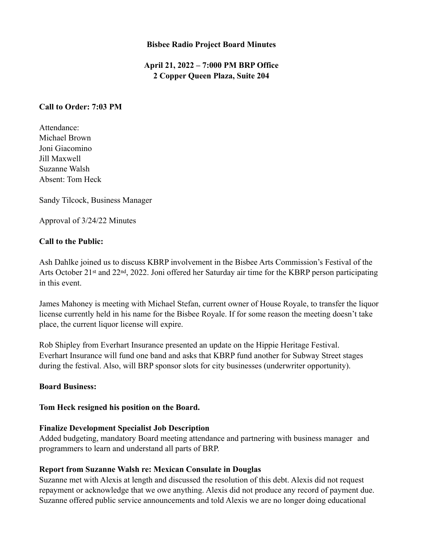#### **Bisbee Radio Project Board Minutes**

# **April 21, 2022 – 7:000 PM BRP Office 2 Copper Queen Plaza, Suite 204**

#### **Call to Order: 7:03 PM**

Attendance: Michael Brown Joni Giacomino Jill Maxwell Suzanne Walsh Absent: Tom Heck

Sandy Tilcock, Business Manager

Approval of 3/24/22 Minutes

### **Call to the Public:**

Ash Dahlke joined us to discuss KBRP involvement in the Bisbee Arts Commission's Festival of the Arts October 21st and 22nd, 2022. Joni offered her Saturday air time for the KBRP person participating in this event.

James Mahoney is meeting with Michael Stefan, current owner of House Royale, to transfer the liquor license currently held in his name for the Bisbee Royale. If for some reason the meeting doesn't take place, the current liquor license will expire.

Rob Shipley from Everhart Insurance presented an update on the Hippie Heritage Festival. Everhart Insurance will fund one band and asks that KBRP fund another for Subway Street stages during the festival. Also, will BRP sponsor slots for city businesses (underwriter opportunity).

#### **Board Business:**

#### **Tom Heck resigned his position on the Board.**

#### **Finalize Development Specialist Job Description**

Added budgeting, mandatory Board meeting attendance and partnering with business manager and programmers to learn and understand all parts of BRP.

## **Report from Suzanne Walsh re: Mexican Consulate in Douglas**

Suzanne met with Alexis at length and discussed the resolution of this debt. Alexis did not request repayment or acknowledge that we owe anything. Alexis did not produce any record of payment due. Suzanne offered public service announcements and told Alexis we are no longer doing educational